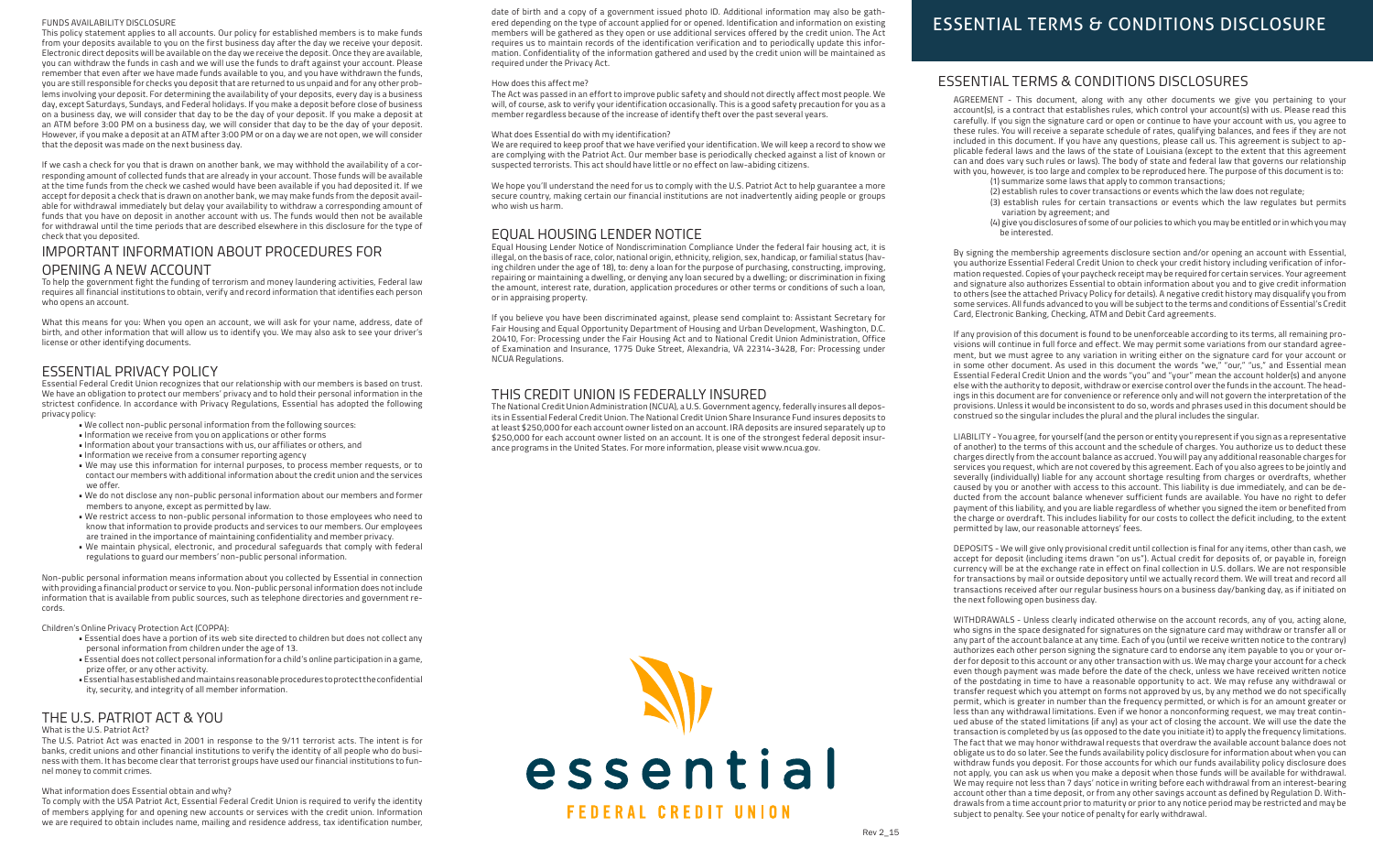### FUNDS AVAILABILITY DISCLOSURE

This policy statement applies to all accounts. Our policy for established members is to make funds from your deposits available to you on the first business day after the day we receive your deposit. Electronic direct deposits will be available on the day we receive the deposit. Once they are available, you can withdraw the funds in cash and we will use the funds to draft against your account. Please remember that even after we have made funds available to you, and you have withdrawn the funds, you are still responsible for checks you deposit that are returned to us unpaid and for any other problems involving your deposit. For determining the availability of your deposits, every day is a business day, except Saturdays, Sundays, and Federal holidays. If you make a deposit before close of business on a business day, we will consider that day to be the day of your deposit. If you make a deposit at an ATM before 3:00 PM on a business day, we will consider that day to be the day of your deposit. However, if you make a deposit at an ATM after 3:00 PM or on a day we are not open, we will consider that the deposit was made on the next business day.

If we cash a check for you that is drawn on another bank, we may withhold the availability of a corresponding amount of collected funds that are already in your account. Those funds will be available at the time funds from the check we cashed would have been available if you had deposited it. If we accept for deposit a check that is drawn on another bank, we may make funds from the deposit available for withdrawal immediately but delay your availability to withdraw a corresponding amount of funds that you have on deposit in another account with us. The funds would then not be available for withdrawal until the time periods that are described elsewhere in this disclosure for the type of check that you deposited.

## IMPORTANT INFORMATION ABOUT PROCEDURES FOR OPENING A NEW ACCOUNT

To help the government fight the funding of terrorism and money laundering activities, Federal law requires all financial institutions to obtain, verify and record information that identifies each person who opens an account.

What this means for you: When you open an account, we will ask for your name, address, date of birth, and other information that will allow us to identify you. We may also ask to see your driver's license or other identifying documents.

### ESSENTIAL PRIVACY POLICY

Essential Federal Credit Union recognizes that our relationship with our members is based on trust. We have an obligation to protect our members' privacy and to hold their personal information in the strictest confidence. In accordance with Privacy Regulations, Essential has adopted the following privacy policy:

- We collect non-public personal information from the following sources:
- Information we receive from you on applications or other forms
- Information about your transactions with us, our affiliates or others, and
- Information we receive from a consumer reporting agency
- We may use this information for internal purposes, to process member requests, or to contact our members with additional information about the credit union and the services we offer.
- We do not disclose any non-public personal information about our members and former members to anyone, except as permitted by law.
- We restrict access to non-public personal information to those employees who need to know that information to provide products and services to our members. Our employees are trained in the importance of maintaining confidentiality and member privacy.
- We maintain physical, electronic, and procedural safeguards that comply with federal regulations to guard our members' non-public personal information.

Non-public personal information means information about you collected by Essential in connection with providing a financial product or service to you. Non-public personal information does not include information that is available from public sources, such as telephone directories and government records.

Children's Online Privacy Protection Act (COPPA):

- Essential does have a portion of its web site directed to children but does not collect any personal information from children under the age of 13.
- Essential does not collect personal information for a child's online participation in a game, prize offer, or any other activity.
- Essential has established and maintains reasonable procedures to protectthe confidential ity, security, and integrity of all member information.

# THE U.S. PATRIOT ACT & YOU

### What is the U.S. Patriot Act?

The U.S. Patriot Act was enacted in 2001 in response to the 9/11 terrorist acts. The intent is for banks, credit unions and other financial institutions to verify the identity of all people who do business with them. It has become clear that terrorist groups have used our financial institutions to funnel money to commit crimes.

### What information does Essential obtain and why?

To comply with the USA Patriot Act, Essential Federal Credit Union is required to verify the identity of members applying for and opening new accounts or services with the credit union. Information we are required to obtain includes name, mailing and residence address, tax identification number,

date of birth and a copy of a government issued photo ID. Additional information may also be gathered depending on the type of account applied for or opened. Identification and information on existing members will be gathered as they open or use additional services offered by the credit union. The Act requires us to maintain records of the identification verification and to periodically update this information. Confidentiality of the information gathered and used by the credit union will be maintained as required under the Privacy Act.

### How does this affect me?

The Act was passed in an effort to improve public safety and should not directly affect most people. We will, of course, ask to verify your identification occasionally. This is a good safety precaution for you as a member regardless because of the increase of identify theft over the past several years.

### What does Essential do with my identification?

We are required to keep proof that we have verified your identification. We will keep a record to show we are complying with the Patriot Act. Our member base is periodically checked against a list of known or suspected terrorists. This act should have little or no effect on law-abiding citizens.

We hope you'll understand the need for us to comply with the U.S. Patriot Act to help guarantee a more secure country, making certain our financial institutions are not inadvertently aiding people or groups who wish us harm.

# EQUAL HOUSING LENDER NOTICE

Equal Housing Lender Notice of Nondiscrimination Compliance Under the federal fair housing act, it is illegal, on the basis of race, color, national origin, ethnicity, religion, sex, handicap, or familial status (having children under the age of 18), to: deny a loan for the purpose of purchasing, constructing, improving, repairing or maintaining a dwelling, or denying any loan secured by a dwelling; or discrimination in fixing the amount, interest rate, duration, application procedures or other terms or conditions of such a loan, or in appraising property.

If you believe you have been discriminated against, please send complaint to: Assistant Secretary for Fair Housing and Equal Opportunity Department of Housing and Urban Development, Washington, D.C. 20410, For: Processing under the Fair Housing Act and to National Credit Union Administration, Office of Examination and Insurance, 1775 Duke Street, Alexandria, VA 22314-3428, For: Processing under NCUA Regulations.

### THIS CREDIT UNION IS FEDERALLY INSURED

The National Credit Union Administration (NCUA), a U.S. Government agency, federally insures all deposits in Essential Federal Credit Union. The National Credit Union Share Insurance Fund insures deposits to at least \$250,000 for each account owner listed on an account. IRA deposits are insured separately up to \$250,000 for each account owner listed on an account. It is one of the strongest federal deposit insurance programs in the United States. For more information, please visit www.ncua.gov.



# **ESSENTIAL TERMS & CONDITIONS DISCLOSURE**

### ESSENTIAL TERMS & CONDITIONS DISCLOSURES

AGREEMENT - This document, along with any other documents we give you pertaining to your account(s), is a contract that establishes rules, which control your account(s) with us. Please read this carefully. If you sign the signature card or open or continue to have your account with us, you agree to these rules. You will receive a separate schedule of rates, qualifying balances, and fees if they are not included in this document. If you have any questions, please call us. This agreement is subject to applicable federal laws and the laws of the state of Louisiana (except to the extent that this agreement can and does vary such rules or laws). The body of state and federal law that governs our relationship with you, however, is too large and complex to be reproduced here. The purpose of this document is to:

- (1) summarize some laws that apply to common transactions; (2) establish rules to cover transactions or events which the law does not regulate;
- (3) establish rules for certain transactions or events which the law regulates but permits variation by agreement; and
- (4) give you disclosures of some of our policies to which you may be entitled or in which you may be interested.

By signing the membership agreements disclosure section and/or opening an account with Essential, you authorize Essential Federal Credit Union to check your credit history including verification of information requested. Copies of your paycheck receipt may be required for certain services. Your agreement and signature also authorizes Essential to obtain information about you and to give credit information to others (see the attached Privacy Policy for details). A negative credit history may disqualify you from some services. All funds advanced to you will be subject to the terms and conditions of Essential's Credit Card, Electronic Banking, Checking, ATM and Debit Card agreements.

If any provision of this document is found to be unenforceable according to its terms, all remaining provisions will continue in full force and effect. We may permit some variations from our standard agreement, but we must agree to any variation in writing either on the signature card for your account or in some other document. As used in this document the words "we," "our," "us," and Essential mean Essential Federal Credit Union and the words "you" and "your" mean the account holder(s) and anyone else with the authority to deposit, withdraw or exercise control over the funds in the account. The headings in this document are for convenience or reference only and will not govern the interpretation of the provisions. Unless it would be inconsistent to do so, words and phrases used in this document should be construed so the singular includes the plural and the plural includes the singular.

LIABILITY - You agree, for yourself (and the person or entity you represent if you sign as a representative of another) to the terms of this account and the schedule of charges. You authorize us to deduct these charges directly from the account balance as accrued. You will pay any additional reasonable charges for services you request, which are not covered by this agreement. Each of you also agrees to be jointly and severally (individually) liable for any account shortage resulting from charges or overdrafts, whether caused by you or another with access to this account. This liability is due immediately, and can be deducted from the account balance whenever sufficient funds are available. You have no right to defer payment of this liability, and you are liable regardless of whether you signed the item or benefited from the charge or overdraft. This includes liability for our costs to collect the deficit including, to the extent permitted by law, our reasonable attorneys' fees.

DEPOSITS - We will give only provisional credit until collection is final for any items, other than cash, we accept for deposit (including items drawn "on us"). Actual credit for deposits of, or payable in, foreign currency will be at the exchange rate in effect on final collection in U.S. dollars. We are not responsible for transactions by mail or outside depository until we actually record them. We will treat and record all transactions received after our regular business hours on a business day/banking day, as if initiated on the next following open business day.

WITHDRAWALS - Unless clearly indicated otherwise on the account records, any of you, acting alone, who signs in the space designated for signatures on the signature card may withdraw or transfer all or any part of the account balance at any time. Each of you (until we receive written notice to the contrary) authorizes each other person signing the signature card to endorse any item payable to you or your order for deposit to this account or any other transaction with us. We may charge your account for a check even though payment was made before the date of the check, unless we have received written notice of the postdating in time to have a reasonable opportunity to act. We may refuse any withdrawal or transfer request which you attempt on forms not approved by us, by any method we do not specifically permit, which is greater in number than the frequency permitted, or which is for an amount greater or less than any withdrawal limitations. Even if we honor a nonconforming request, we may treat continued abuse of the stated limitations (if any) as your act of closing the account. We will use the date the transaction is completed by us (as opposed to the date you initiate it) to apply the frequency limitations. The fact that we may honor withdrawal requests that overdraw the available account balance does not obligate us to do so later. See the funds availability policy disclosure for information about when you can withdraw funds you deposit. For those accounts for which our funds availability policy disclosure does not apply, you can ask us when you make a deposit when those funds will be available for withdrawal. We may require not less than 7 days' notice in writing before each withdrawal from an interest-bearing account other than a time deposit, or from any other savings account as defined by Regulation D. Withdrawals from a time account prior to maturity or prior to any notice period may be restricted and may be subject to penalty. See your notice of penalty for early withdrawal.